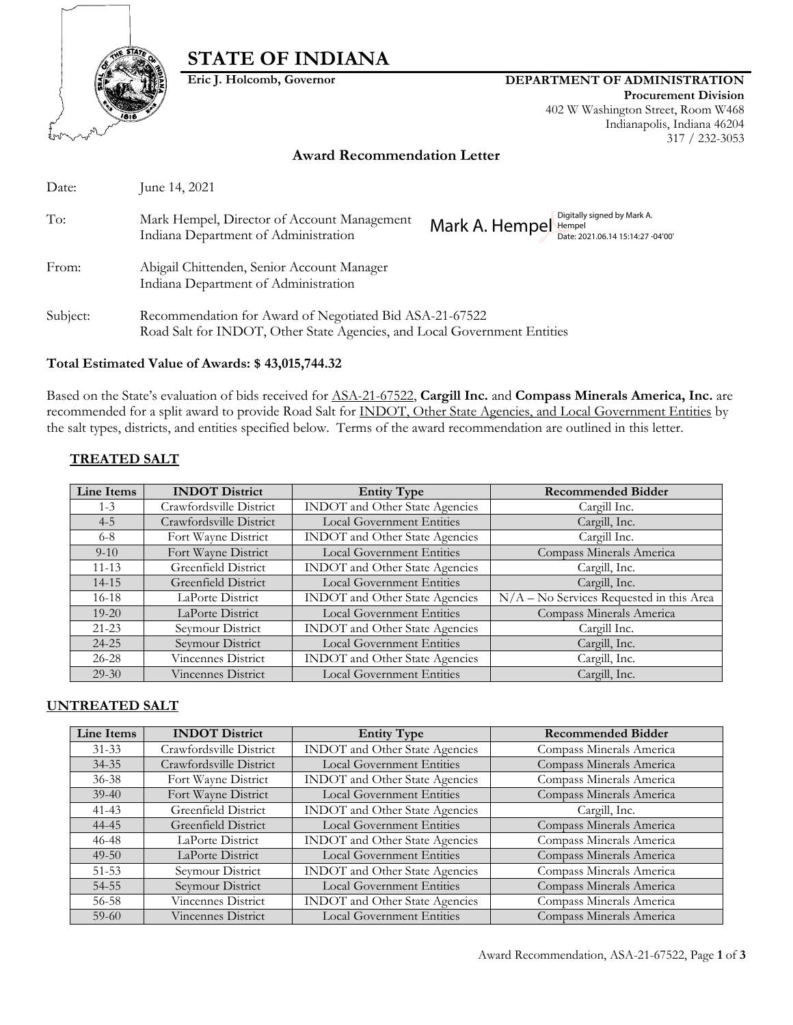

# **STATE OF INDIANA**

#### **Eric J. Holcomb, Governor DEPARTMENT OF ADMINISTRATION**

**Procurement Division** 402 W Washington Street, Room W468 Indianapolis, Indiana 46204 317 / 232-3053

#### **Award Recommendation Letter**

| Date:    | June 14, 2021                                                                                                                       |               |                                                                  |
|----------|-------------------------------------------------------------------------------------------------------------------------------------|---------------|------------------------------------------------------------------|
| To:      | Mark Hempel, Director of Account Management<br>Indiana Department of Administration                                                 | Mark A. Hempe | Digitally signed by Mark A.<br>Date: 2021.06.14 15:14:27 -04'00' |
| From:    | Abigail Chittenden, Senior Account Manager<br>Indiana Department of Administration                                                  |               |                                                                  |
| Subject: | Recommendation for Award of Negotiated Bid ASA-21-67522<br>Road Salt for INDOT, Other State Agencies, and Local Government Entities |               |                                                                  |

#### **Total Estimated Value of Awards: \$ 43,015,744.32**

Based on the State's evaluation of bids received for ASA-21-67522, **Cargill Inc.** and **Compass Minerals America, Inc.** are recommended for a split award to provide Road Salt for INDOT, Other State Agencies, and Local Government Entities by the salt types, districts, and entities specified below. Terms of the award recommendation are outlined in this letter.

# **TREATED SALT**

| Line Items | <b>INDOT</b> District   | <b>Entity Type</b>                    | <b>Recommended Bidder</b>                             |
|------------|-------------------------|---------------------------------------|-------------------------------------------------------|
| $1 - 3$    | Crawfordsville District | INDOT and Other State Agencies        | Cargill Inc.                                          |
| $4 - 5$    | Crawfordsville District | <b>Local Government Entities</b>      | Cargill, Inc.                                         |
| $6 - 8$    | Fort Wayne District     | INDOT and Other State Agencies        | Cargill Inc.                                          |
| $9 - 10$   | Fort Wayne District     | <b>Local Government Entities</b>      | Compass Minerals America                              |
| $11 - 13$  | Greenfield District     | <b>INDOT</b> and Other State Agencies | Cargill, Inc.                                         |
| $14 - 15$  | Greenfield District     | <b>Local Government Entities</b>      | Cargill, Inc.                                         |
| $16-18$    | LaPorte District        | <b>INDOT</b> and Other State Agencies | $\overline{N/A}$ – No Services Requested in this Area |
| $19 - 20$  | LaPorte District        | <b>Local Government Entities</b>      | Compass Minerals America                              |
| $21 - 23$  | Seymour District        | <b>INDOT</b> and Other State Agencies | Cargill Inc.                                          |
| $24 - 25$  | Seymour District        | <b>Local Government Entities</b>      | Cargill, Inc.                                         |
| $26 - 28$  | Vincennes District      | <b>INDOT</b> and Other State Agencies | Cargill, Inc.                                         |
| $29 - 30$  | Vincennes District      | <b>Local Government Entities</b>      | Cargill, Inc.                                         |

#### **UNTREATED SALT**

| Line Items | <b>INDOT</b> District   | <b>Entity Type</b>                    | <b>Recommended Bidder</b> |
|------------|-------------------------|---------------------------------------|---------------------------|
| $31 - 33$  | Crawfordsville District | <b>INDOT</b> and Other State Agencies | Compass Minerals America  |
| $34 - 35$  | Crawfordsville District | <b>Local Government Entities</b>      | Compass Minerals America  |
| $36 - 38$  | Fort Wayne District     | <b>INDOT</b> and Other State Agencies | Compass Minerals America  |
| $39-40$    | Fort Wayne District     | <b>Local Government Entities</b>      | Compass Minerals America  |
| $41 - 43$  | Greenfield District     | INDOT and Other State Agencies        | Cargill, Inc.             |
| 44-45      | Greenfield District     | <b>Local Government Entities</b>      | Compass Minerals America  |
| 46-48      | LaPorte District        | INDOT and Other State Agencies        | Compass Minerals America  |
| $49 - 50$  | LaPorte District        | <b>Local Government Entities</b>      | Compass Minerals America  |
| $51 - 53$  | Seymour District        | <b>INDOT</b> and Other State Agencies | Compass Minerals America  |
| 54-55      | Seymour District        | <b>Local Government Entities</b>      | Compass Minerals America  |
| 56-58      | Vincennes District      | INDOT and Other State Agencies        | Compass Minerals America  |
| $59-60$    | Vincennes District      | <b>Local Government Entities</b>      | Compass Minerals America  |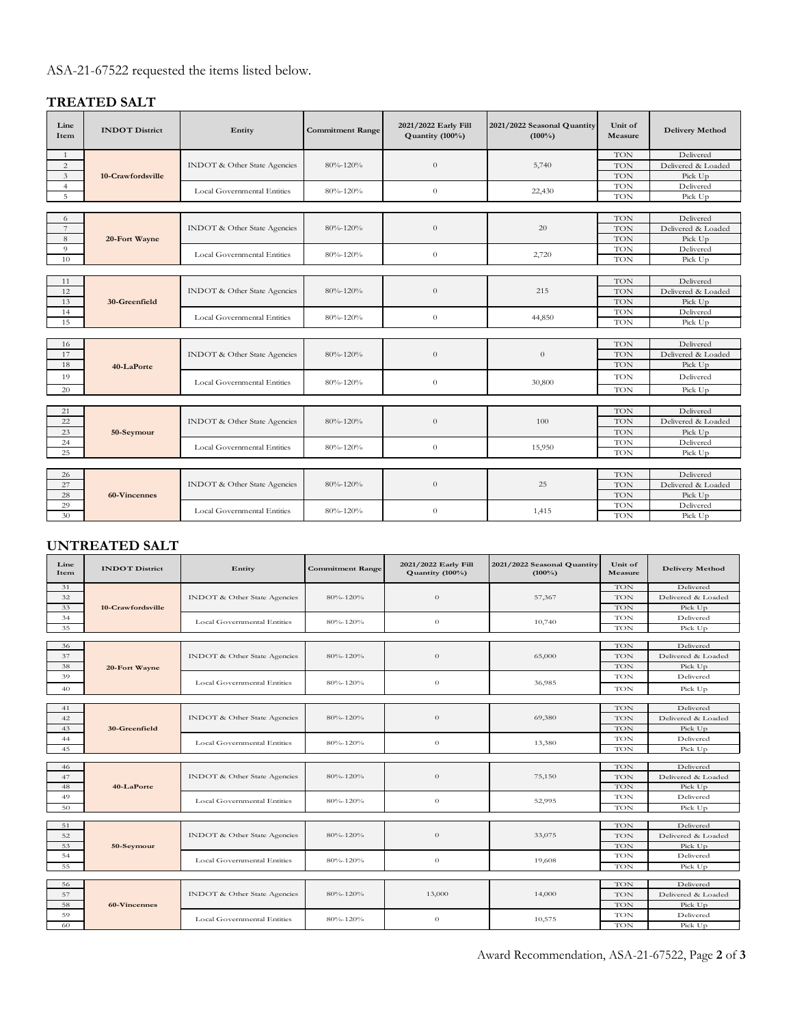# ASA-21-67522 requested the items listed below.

# **TREATED SALT**

| Line<br>Item   | <b>INDOT</b> District | Entity                              | <b>Commitment Range</b> | 2021/2022 Early Fill<br>Quantity (100%) | 2021/2022 Seasonal Quantity<br>$(100\%)$ | Unit of<br>Measure | <b>Delivery Method</b> |
|----------------|-----------------------|-------------------------------------|-------------------------|-----------------------------------------|------------------------------------------|--------------------|------------------------|
| $\mathbf{1}$   |                       |                                     |                         |                                         |                                          | TON                | Delivered              |
| $\overline{c}$ |                       | <b>INDOT</b> & Other State Agencies | $80\% - 120\%$          | $\theta$                                | 5,740                                    | TON                | Delivered & Loaded     |
| 3              | 10-Crawfordsville     |                                     |                         |                                         |                                          | TON                | Pick Up                |
| $\overline{4}$ |                       | Local Governmental Entities         | $80\% - 120\%$          | $\theta$                                | 22,430                                   | TON                | Delivered              |
| 5              |                       |                                     |                         |                                         |                                          | <b>TON</b>         | Pick Up                |
|                |                       |                                     |                         |                                         |                                          |                    |                        |
| 6              |                       |                                     |                         | $\theta$                                |                                          | TON                | Delivered              |
| $\overline{7}$ |                       | <b>INDOT</b> & Other State Agencies | $80\% - 120\%$          |                                         | 20                                       | TON                | Delivered & Loaded     |
| 8              | 20-Fort Wayne         |                                     |                         |                                         |                                          | TON                | Pick Up                |
| 9              |                       | <b>Local Governmental Entities</b>  | 80%-120%                | $\theta$                                | 2,720                                    | <b>TON</b>         | Delivered              |
| 10             |                       |                                     |                         |                                         |                                          | <b>TON</b>         | Pick Up                |
|                |                       |                                     |                         |                                         |                                          |                    |                        |
| 11             |                       |                                     |                         |                                         |                                          | TON                | Delivered              |
| 12             |                       | <b>INDOT</b> & Other State Agencies | 80%-120%                | $\theta$                                | 215                                      | TON                | Delivered & Loaded     |
| 13             | 30-Greenfield         |                                     |                         |                                         |                                          | TON                | Pick Up                |
| 14             |                       | <b>Local Governmental Entities</b>  | 80%-120%                | $\theta$                                | 44,850                                   | <b>TON</b>         | Delivered              |
| 15             |                       |                                     |                         |                                         |                                          | TON                | Pick Up                |
|                |                       |                                     |                         |                                         |                                          |                    |                        |
| 16             |                       |                                     |                         | 80%-120%<br>$\theta$                    | $\theta$                                 | TON                | Delivered              |
| 17             |                       | <b>INDOT</b> & Other State Agencies |                         |                                         |                                          | TON                | Delivered & Loaded     |
| 18             | 40-LaPorte            |                                     |                         | <b>TON</b>                              | Pick Up                                  |                    |                        |
| 19             |                       | <b>Local Governmental Entities</b>  | 80%-120%                | $\theta$                                | 30,800                                   | TON                | Delivered              |
| 20             |                       |                                     |                         |                                         |                                          | TON                | Pick Up                |
|                |                       |                                     |                         |                                         |                                          |                    |                        |
| 21             |                       |                                     |                         |                                         |                                          | <b>TON</b>         | Delivered              |
| 22             |                       | <b>INDOT</b> & Other State Agencies | 80%-120%                | $\theta$                                | 100                                      | TON                | Delivered & Loaded     |
| 23             | 50-Seymour            |                                     |                         |                                         |                                          | <b>TON</b>         | Pick Up                |
| 24             |                       | Local Governmental Entities         | 80%-120%                | $\theta$                                | 15,950                                   | <b>TON</b>         | Delivered              |
| 25             |                       |                                     |                         |                                         |                                          | TON                | Pick Up                |
|                |                       |                                     |                         |                                         |                                          |                    |                        |
| 26             | 60-Vincennes          |                                     |                         |                                         | 25                                       | <b>TON</b>         | Delivered              |
| 27             |                       | <b>INDOT</b> & Other State Agencies | 80%-120%                | $\theta$                                |                                          | <b>TON</b>         | Delivered & Loaded     |
| 28             |                       |                                     |                         |                                         |                                          | TON                | Pick Up                |
| 29             |                       | Local Governmental Entities         | 80%-120%                | $\theta$                                | 1,415                                    | TON                | Delivered              |
| 30             |                       |                                     |                         |                                         |                                          | TON                | Pick Up                |

### **UNTREATED SALT**

| Line<br>Item | <b>INDOT</b> District | Entity                                                     | <b>Commitment Range</b> | 2021/2022 Early Fill<br>Quantity (100%) | 2021/2022 Seasonal Quantity<br>$(100\%)$ | Unit of<br>Measure | <b>Delivery Method</b> |
|--------------|-----------------------|------------------------------------------------------------|-------------------------|-----------------------------------------|------------------------------------------|--------------------|------------------------|
| 31           |                       | <b>INDOT</b> & Other State Agencies                        | 80%-120%                |                                         |                                          | <b>TON</b>         | Delivered              |
| 32           |                       |                                                            |                         | $\theta$                                | 57,367                                   | <b>TON</b>         | Delivered & Loaded     |
| 33           | 10-Crawfordsville     |                                                            |                         |                                         |                                          | <b>TON</b>         | Pick Up                |
| 34           |                       | <b>Local Governmental Entities</b>                         | 80%-120%                | $\theta$                                | 10,740                                   | <b>TON</b>         | Delivered              |
| 35           |                       |                                                            |                         |                                         |                                          | TON                | Pick Up                |
|              |                       |                                                            |                         |                                         |                                          |                    |                        |
| 36           |                       |                                                            |                         | $\theta$                                |                                          | TON                | Delivered              |
| 37           |                       | <b>INDOT</b> & Other State Agencies                        | 80%-120%                |                                         | 65,000                                   | TON                | Delivered & Loaded     |
| 38           | 20-Fort Wayne         |                                                            |                         |                                         |                                          | <b>TON</b>         | Pick Up                |
| 39           |                       | Local Governmental Entities                                | 80%-120%                | $\theta$                                | 36,985                                   | <b>TON</b>         | Delivered              |
| 40           |                       |                                                            |                         |                                         |                                          | <b>TON</b>         | Pick Up                |
|              |                       |                                                            |                         |                                         |                                          |                    |                        |
| 41           |                       | <b>INDOT</b> & Other State Agencies                        | 80%-120%                | $\theta$                                | 69,380                                   | TON                | Delivered              |
| 42           |                       |                                                            |                         |                                         |                                          | <b>TON</b>         | Delivered & Loaded     |
| 43           | 30-Greenfield         |                                                            |                         |                                         |                                          | <b>TON</b>         | Pick Up                |
| 44           |                       | <b>Local Governmental Entities</b>                         | 80%-120%                | $\theta$                                | 13,380                                   | <b>TON</b>         | Delivered              |
| 45           |                       |                                                            |                         |                                         |                                          | <b>TON</b>         | Pick Up                |
|              |                       |                                                            |                         |                                         |                                          |                    |                        |
| 46           |                       |                                                            | 80%-120%                | $\theta$                                | 75,150                                   | TON                | Delivered              |
| 47           |                       | <b>INDOT</b> & Other State Agencies                        |                         |                                         |                                          | <b>TON</b>         | Delivered & Loaded     |
| 48           | 40-LaPorte            | <b>Local Governmental Entities</b><br>80%-120%<br>$\theta$ |                         | <b>TON</b>                              | Pick Up                                  |                    |                        |
| 49           |                       |                                                            |                         | 52,995                                  | <b>TON</b>                               | Delivered          |                        |
| 50           |                       |                                                            |                         |                                         | <b>TON</b>                               | Pick Up            |                        |
| 51           |                       |                                                            |                         |                                         |                                          | TON                | Delivered              |
| 52           |                       | <b>INDOT</b> & Other State Agencies                        | 80%-120%                | $\theta$                                | 33,075                                   | <b>TON</b>         | Delivered & Loaded     |
| 53           | 50-Seymour            |                                                            |                         |                                         |                                          | <b>TON</b>         | Pick Up                |
| 54           |                       |                                                            |                         |                                         |                                          | TON                | Delivered              |
| 55           |                       | <b>Local Governmental Entities</b>                         | 80%-120%                | $\boldsymbol{0}$                        | 19,608                                   | TON                | Pick Up                |
|              |                       |                                                            |                         |                                         |                                          |                    |                        |
| 56           |                       |                                                            |                         |                                         |                                          | TON                | Delivered              |
| 57           |                       | <b>INDOT</b> & Other State Agencies                        | $80\% - 120\%$          | 13,000                                  | 14,000                                   | <b>TON</b>         | Delivered & Loaded     |
| 58           | 60-Vincennes          |                                                            |                         |                                         |                                          | <b>TON</b>         | Pick Up                |
| 59           |                       |                                                            |                         |                                         |                                          | TON                | Delivered              |
| 60           |                       | <b>Local Governmental Entities</b>                         | 80%-120%                | $\theta$                                | 10,575                                   | TON                | Pick Up                |

Award Recommendation, ASA-21-67522, Page **2** of **3**